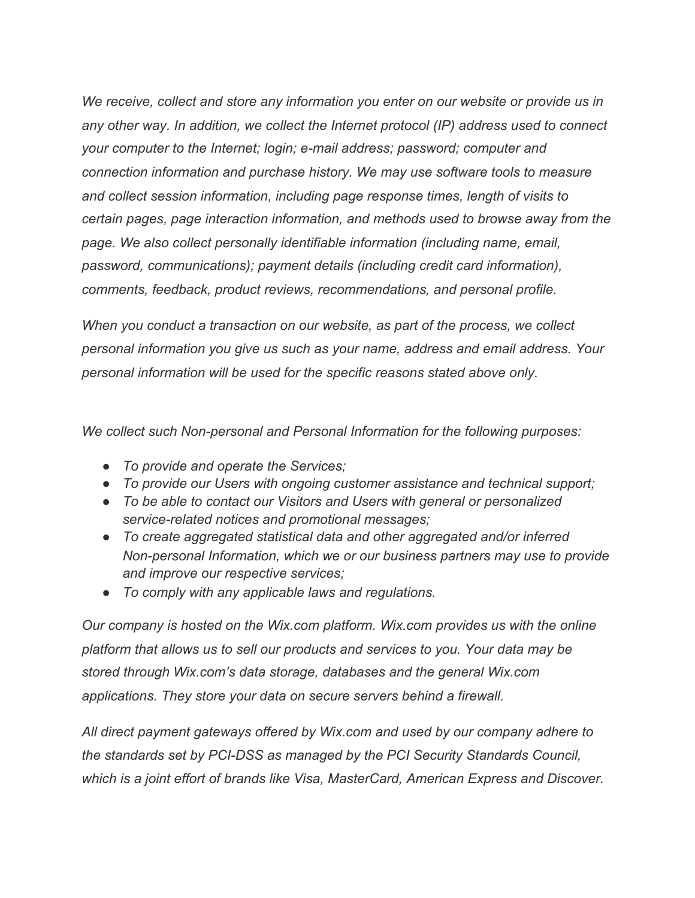*We receive, collect and store any information you enter on our website or provide us in any other way. In addition, we collect the Internet protocol (IP) address used to connect your computer to the Internet; login; e-mail address; password; computer and connection information and purchase history. We may use software tools to measure and collect session information, including page response times, length of visits to certain pages, page interaction information, and methods used to browse away from the page. We also collect personally identifiable information (including name, email, password, communications); payment details (including credit card information), comments, feedback, product reviews, recommendations, and personal profile.*

*When you conduct a transaction on our website, as part of the process, we collect personal information you give us such as your name, address and email address. Your personal information will be used for the specific reasons stated above only.*

*We collect such Non-personal and Personal Information for the following purposes:*

- *To provide and operate the Services;*
- *To provide our Users with ongoing customer assistance and technical support;*
- *To be able to contact our Visitors and Users with general or personalized service-related notices and promotional messages;*
- *To create aggregated statistical data and other aggregated and/or inferred Non-personal Information, which we or our business partners may use to provide and improve our respective services;*
- *To comply with any applicable laws and regulations.*

*Our company is hosted on the Wix.com platform. Wix.com provides us with the online platform that allows us to sell our products and services to you. Your data may be stored through Wix.com's data storage, databases and the general Wix.com applications. They store your data on secure servers behind a firewall.*

*All direct payment gateways offered by Wix.com and used by our company adhere to the standards set by PCI-DSS as managed by the PCI Security Standards Council, which is a joint effort of brands like Visa, MasterCard, American Express and Discover.*